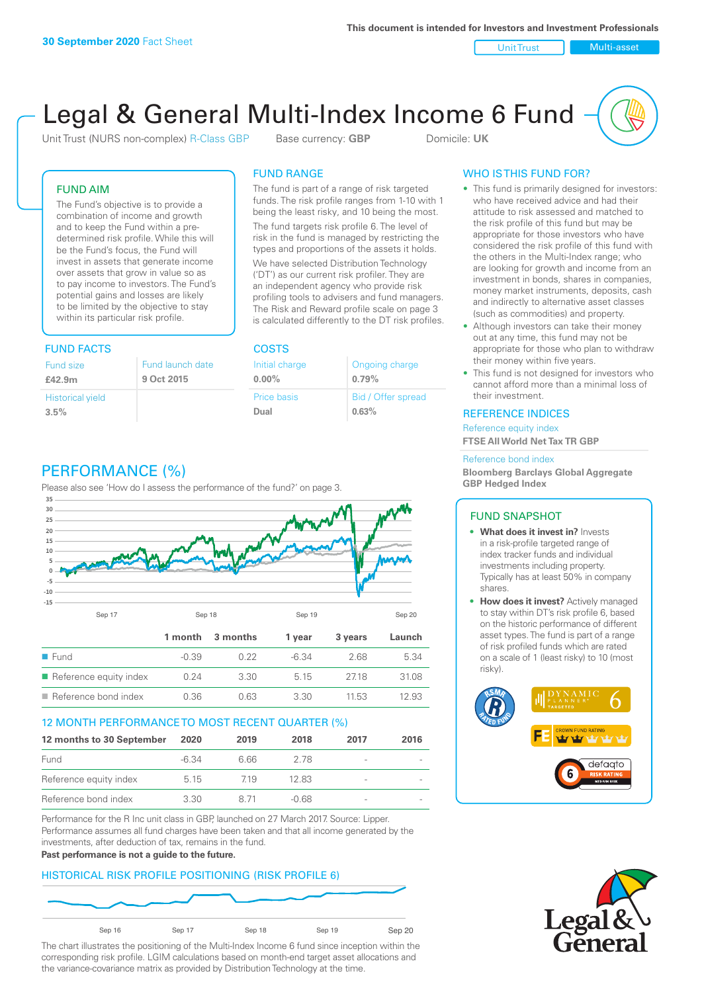Unit Trust Nulti-asset

# Legal & General Multi-Index Income 6 Fund

Unit Trust (NURS non-complex) R-Class GBP Base currency: **GBP** Domicile: UK

### FUND AIM

The Fund's objective is to provide a combination of income and growth and to keep the Fund within a predetermined risk profile. While this will be the Fund's focus, the Fund will invest in assets that generate income over assets that grow in value so as to pay income to investors. The Fund's potential gains and losses are likely to be limited by the objective to stay within its particular risk profile.

### FUND FACTS COSTS

| Fund size<br>£42.9m     | Fund launch date<br>9 Oct 2015 |
|-------------------------|--------------------------------|
| <b>Historical yield</b> |                                |
| 3.5%                    |                                |

### FUND RANGE

The fund is part of a range of risk targeted funds. The risk profile ranges from 1-10 with 1 being the least risky, and 10 being the most.

The fund targets risk profile 6. The level of risk in the fund is managed by restricting the types and proportions of the assets it holds. We have selected Distribution Technology ('DT') as our current risk profiler. They are an independent agency who provide risk profiling tools to advisers and fund managers. The Risk and Reward profile scale on page 3 is calculated differently to the DT risk profiles.

| Initial charge | Ongoing charge     |
|----------------|--------------------|
| $0.00\%$       | 0.79%              |
| Price basis    | Bid / Offer spread |
| Dual           | 0.63%              |

### PERFORMANCE (%)

Please also see 'How do I assess the performance of the fund?' on page 3.



### 12 MONTH PERFORMANCE TO MOST RECENT QUARTER (%)

| 12 months to 30 September | 2020    | 2019 | 2018    | 2017                     | 2016 |
|---------------------------|---------|------|---------|--------------------------|------|
| Fund                      | $-6.34$ | 6.66 | 2 78    |                          |      |
| Reference equity index    | 5.15    | 719  | 1283    | $\overline{\phantom{a}}$ |      |
| Reference bond index      | 3.30    | 8.71 | $-0.68$ | -                        |      |

Performance for the R Inc unit class in GBP, launched on 27 March 2017. Source: Lipper. Performance assumes all fund charges have been taken and that all income generated by the investments, after deduction of tax, remains in the fund.

### **Past performance is not a guide to the future.**

### HISTORICAL RISK PROFILE POSITIONING (RISK PROFILE 6)



The chart illustrates the positioning of the Multi-Index Income 6 fund since inception within the corresponding risk profile. LGIM calculations based on month-end target asset allocations and the variance-covariance matrix as provided by Distribution Technology at the time.

### WHO IS THIS FUND FOR?

- This fund is primarily designed for investors: who have received advice and had their attitude to risk assessed and matched to the risk profile of this fund but may be appropriate for those investors who have considered the risk profile of this fund with the others in the Multi-Index range; who are looking for growth and income from an investment in bonds, shares in companies, money market instruments, deposits, cash and indirectly to alternative asset classes (such as commodities) and property.
- Although investors can take their money out at any time, this fund may not be appropriate for those who plan to withdraw their money within five years.
- This fund is not designed for investors who cannot afford more than a minimal loss of their investment.

### REFERENCE INDICES

Reference equity index **FTSE All World Net Tax TR GBP**

#### Reference bond index

**Bloomberg Barclays Global Aggregate GBP Hedged Index**

### FUND SNAPSHOT

- **• What does it invest in?** Invests in a risk-profile targeted range of index tracker funds and individual investments including property. Typically has at least 50% in company shares.
- **• How does it invest?** Actively managed to stay within DT's risk profile 6, based on the historic performance of different asset types. The fund is part of a range of risk profiled funds which are rated on a scale of 1 (least risky) to 10 (most risky).



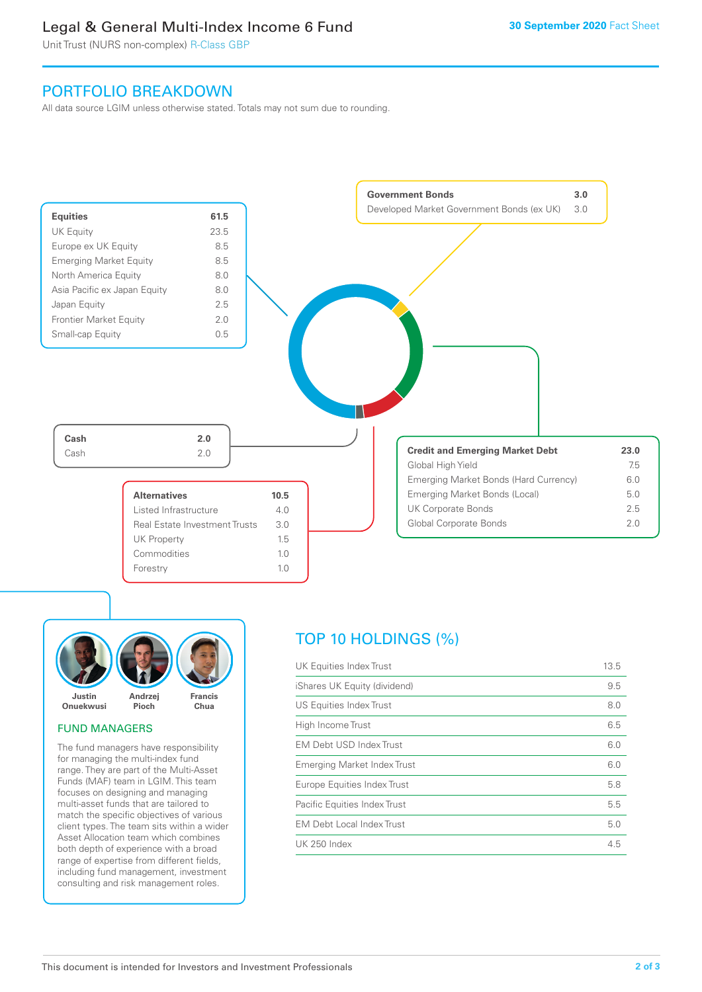### Legal & General Multi-Index Income 6 Fund

Unit Trust (NURS non-complex) R-Class GBP

### PORTFOLIO BREAKDOWN

All data source LGIM unless otherwise stated. Totals may not sum due to rounding.





### FUND MANAGERS

The fund managers have responsibility for managing the multi-index fund range. They are part of the Multi-Asset Funds (MAF) team in LGIM. This team focuses on designing and managing multi-asset funds that are tailored to match the specific objectives of various client types. The team sits within a wider Asset Allocation team which combines both depth of experience with a broad range of expertise from different fields, including fund management, investment consulting and risk management roles.

## TOP 10 HOLDINGS (%)

| UK Equities Index Trust          | 13.5 |
|----------------------------------|------|
| iShares UK Equity (dividend)     | 9.5  |
| US Equities Index Trust          | 8.0  |
| High Income Trust                | 6.5  |
| <b>EM Debt USD Index Trust</b>   | 6.0  |
| Emerging Market Index Trust      | 6.0  |
| Europe Equities Index Trust      | 5.8  |
| Pacific Equities Index Trust     | 5.5  |
| <b>EM Debt Local Index Trust</b> | 5.0  |
| <b>UK 250 Index</b>              | 4.5  |
|                                  |      |